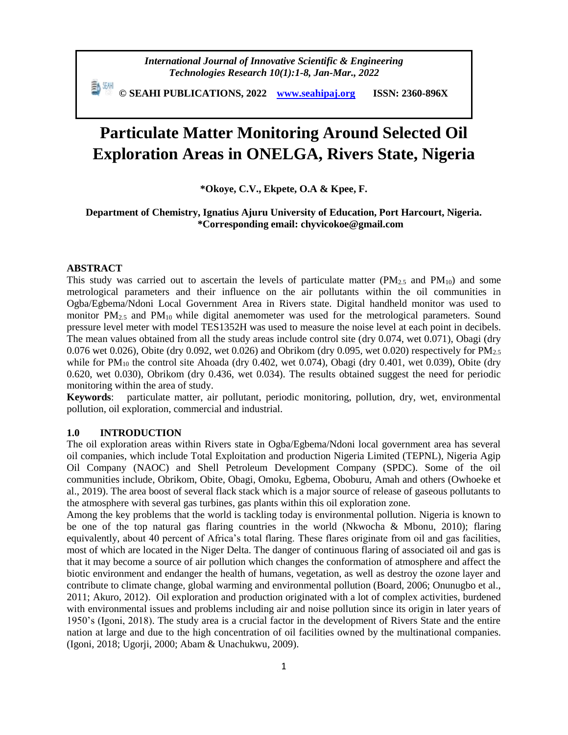**© SEAHI PUBLICATIONS, 2022 [www.seahipaj.org](http://www.seahipaj.org/) ISSN: 2360-896X**

# **Particulate Matter Monitoring Around Selected Oil Exploration Areas in ONELGA, Rivers State, Nigeria**

**\*Okoye, C.V., Ekpete, O.A & Kpee, F.**

# **Department of Chemistry, Ignatius Ajuru University of Education, Port Harcourt, Nigeria. \*Corresponding email: chyvicokoe@gmail.com**

# **ABSTRACT**

This study was carried out to ascertain the levels of particulate matter  $(PM_{2.5}$  and  $PM_{10}$ ) and some metrological parameters and their influence on the air pollutants within the oil communities in Ogba/Egbema/Ndoni Local Government Area in Rivers state. Digital handheld monitor was used to monitor  $PM_{2.5}$  and  $PM_{10}$  while digital anemometer was used for the metrological parameters. Sound pressure level meter with model TES1352H was used to measure the noise level at each point in decibels. The mean values obtained from all the study areas include control site (dry 0.074, wet 0.071), Obagi (dry 0.076 wet 0.026), Obite (dry 0.092, wet 0.026) and Obrikom (dry 0.095, wet 0.020) respectively for  $PM_{2.5}$ while for PM<sub>10</sub> the control site Ahoada (dry 0.402, wet 0.074), Obagi (dry 0.401, wet 0.039), Obite (dry 0.620, wet 0.030), Obrikom (dry 0.436, wet 0.034). The results obtained suggest the need for periodic monitoring within the area of study.

**Keywords**: particulate matter, air pollutant, periodic monitoring, pollution, dry, wet, environmental pollution, oil exploration, commercial and industrial.

## **1.0 INTRODUCTION**

The oil exploration areas within Rivers state in Ogba/Egbema/Ndoni local government area has several oil companies, which include Total Exploitation and production Nigeria Limited (TEPNL), Nigeria Agip Oil Company (NAOC) and Shell Petroleum Development Company (SPDC). Some of the oil communities include, Obrikom, Obite, Obagi, Omoku, Egbema, Oboburu, Amah and others (Owhoeke et al., 2019). The area boost of several flack stack which is a major source of release of gaseous pollutants to the atmosphere with several gas turbines, gas plants within this oil exploration zone.

Among the key problems that the world is tackling today is environmental pollution. Nigeria is known to be one of the top natural gas flaring countries in the world (Nkwocha & Mbonu, 2010); flaring equivalently, about 40 percent of Africa's total flaring. These flares originate from oil and gas facilities, most of which are located in the Niger Delta. The danger of continuous flaring of associated oil and gas is that it may become a source of air pollution which changes the conformation of atmosphere and affect the biotic environment and endanger the health of humans, vegetation, as well as destroy the ozone layer and contribute to climate change, global warming and environmental pollution (Board, 2006; Onunugbo et al., 2011; Akuro, 2012). Oil exploration and production originated with a lot of complex activities, burdened with environmental issues and problems including air and noise pollution since its origin in later years of 1950's (Igoni, 2018). The study area is a crucial factor in the development of Rivers State and the entire nation at large and due to the high concentration of oil facilities owned by the multinational companies. (Igoni, 2018; Ugorji, 2000; Abam & Unachukwu, 2009).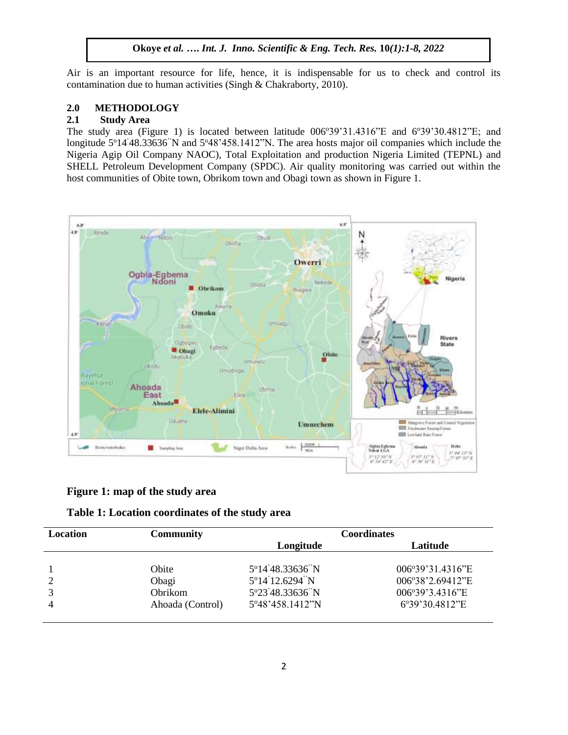Air is an important resource for life, hence, it is indispensable for us to check and control its contamination due to human activities (Singh & Chakraborty, 2010).

## **2.0 METHODOLOGY**

# **2.1 Study Area**

The study area (Figure 1) is located between latitude  $006^{\circ}39'31.4316''E$  and  $6^{\circ}39'30.4812''E$ ; and longitude 5°14'48.33636"N and 5°48'458.1412"N. The area hosts major oil companies which include the Nigeria Agip Oil Company NAOC), Total Exploitation and production Nigeria Limited (TEPNL) and SHELL Petroleum Development Company (SPDC). Air quality monitoring was carried out within the host communities of Obite town, Obrikom town and Obagi town as shown in Figure 1.



## **Figure 1: map of the study area**

# **Table 1: Location coordinates of the study area**

| Location | <b>Community</b> | <b>Coordinates</b> |                  |  |  |  |
|----------|------------------|--------------------|------------------|--|--|--|
|          |                  | Longitude          | Latitude         |  |  |  |
|          |                  |                    |                  |  |  |  |
|          | Obite            | 5°14'48.33636"N    | 006°39'31.4316"E |  |  |  |
|          | Obagi            | 5°14'12.6294"N     | 006°38'2.69412"E |  |  |  |
|          | Obrikom          | 5°23'48.33636"N    | 006°39'3.4316"E  |  |  |  |
|          | Ahoada (Control) | 5°48'458.1412"N    | 6°39'30.4812"E   |  |  |  |
|          |                  |                    |                  |  |  |  |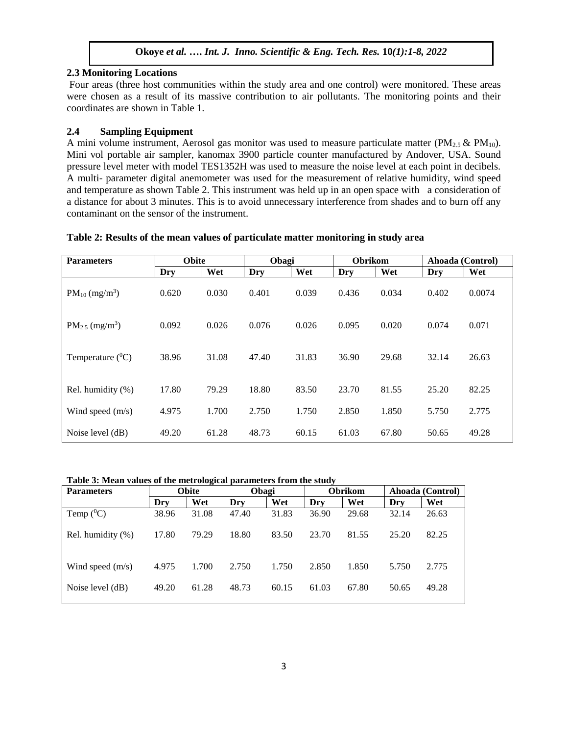## **2.3 Monitoring Locations**

Four areas (three host communities within the study area and one control) were monitored. These areas were chosen as a result of its massive contribution to air pollutants. The monitoring points and their coordinates are shown in Table 1.

# **2.4 Sampling Equipment**

A mini volume instrument, Aerosol gas monitor was used to measure particulate matter ( $PM_{2.5}$  &  $PM_{10}$ ). Mini vol portable air sampler, kanomax 3900 particle counter manufactured by Andover, USA. Sound pressure level meter with model TES1352H was used to measure the noise level at each point in decibels. A multi- parameter digital anemometer was used for the measurement of relative humidity, wind speed and temperature as shown Table 2. This instrument was held up in an open space with a consideration of a distance for about 3 minutes. This is to avoid unnecessary interference from shades and to burn off any contaminant on the sensor of the instrument.

| Table 2: Results of the mean values of particulate matter monitoring in study area |  |  |  |  |  |  |
|------------------------------------------------------------------------------------|--|--|--|--|--|--|
|------------------------------------------------------------------------------------|--|--|--|--|--|--|

| <b>Obite</b><br><b>Parameters</b> |       | Obagi |       | <b>Obrikom</b> |       | Ahoada (Control) |       |        |
|-----------------------------------|-------|-------|-------|----------------|-------|------------------|-------|--------|
|                                   | Dry   | Wet   | Dry   | Wet            | Dry   | Wet              | Dry   | Wet    |
| $PM_{10}$ (mg/m <sup>3</sup> )    | 0.620 | 0.030 | 0.401 | 0.039          | 0.436 | 0.034            | 0.402 | 0.0074 |
| $PM_{2.5}$ (mg/m <sup>3</sup> )   | 0.092 | 0.026 | 0.076 | 0.026          | 0.095 | 0.020            | 0.074 | 0.071  |
| Temperature $(^0C)$               | 38.96 | 31.08 | 47.40 | 31.83          | 36.90 | 29.68            | 32.14 | 26.63  |
| Rel. humidity (%)                 | 17.80 | 79.29 | 18.80 | 83.50          | 23.70 | 81.55            | 25.20 | 82.25  |
| Wind speed $(m/s)$                | 4.975 | 1.700 | 2.750 | 1.750          | 2.850 | 1.850            | 5.750 | 2.775  |
| Noise level (dB)                  | 49.20 | 61.28 | 48.73 | 60.15          | 61.03 | 67.80            | 50.65 | 49.28  |

#### **Table 3: Mean values of the metrological parameters from the study**

| <b>Parameters</b>  | <b>Obite</b> |       | Obagi |       | <b>Obrikom</b> |       | Ahoada (Control) |       |
|--------------------|--------------|-------|-------|-------|----------------|-------|------------------|-------|
|                    | Dry          | Wet   | Dry   | Wet   | Dry            | Wet   | Dry              | Wet   |
| Temp $(^0C)$       | 38.96        | 31.08 | 47.40 | 31.83 | 36.90          | 29.68 | 32.14            | 26.63 |
| Rel. humidity (%)  | 17.80        | 79.29 | 18.80 | 83.50 | 23.70          | 81.55 | 25.20            | 82.25 |
| Wind speed $(m/s)$ | 4.975        | 1.700 | 2.750 | 1.750 | 2.850          | 1.850 | 5.750            | 2.775 |
| Noise level (dB)   | 49.20        | 61.28 | 48.73 | 60.15 | 61.03          | 67.80 | 50.65            | 49.28 |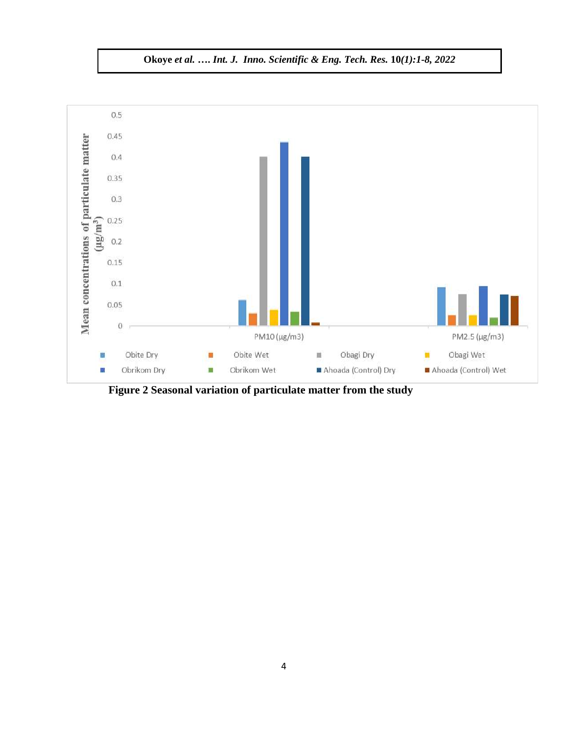

 **Figure 2 Seasonal variation of particulate matter from the study**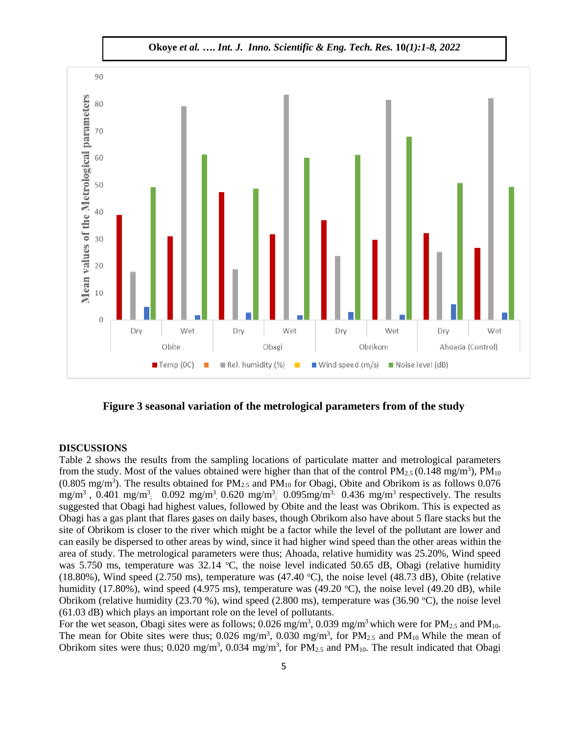

**Figure 3 seasonal variation of the metrological parameters from of the study**

#### **DISCUSSIONS**

Table 2 shows the results from the sampling locations of particulate matter and metrological parameters from the study. Most of the values obtained were higher than that of the control  $PM_{2.5}$  (0.148 mg/m<sup>3</sup>),  $PM_{10}$  $(0.805 \text{ mg/m}^3)$ . The results obtained for PM<sub>2.5</sub> and PM<sub>10</sub> for Obagi, Obite and Obrikom is as follows 0.076 mg/m<sup>3</sup>, 0.401 mg/m<sup>3</sup>; 0.092 mg/m<sup>3</sup>, 0.620 mg/m<sup>3</sup>; 0.095mg/m<sup>3,</sup> 0.436 mg/m<sup>3</sup> respectively. The results suggested that Obagi had highest values, followed by Obite and the least was Obrikom. This is expected as Obagi has a gas plant that flares gases on daily bases, though Obrikom also have about 5 flare stacks but the site of Obrikom is closer to the river which might be a factor while the level of the pollutant are lower and can easily be dispersed to other areas by wind, since it had higher wind speed than the other areas within the area of study. The metrological parameters were thus; Ahoada, relative humidity was 25.20%, Wind speed was 5.750 ms, temperature was  $32.14 \text{ °C}$ , the noise level indicated 50.65 dB, Obagi (relative humidity (18.80%), Wind speed (2.750 ms), temperature was (47.40  $^{\circ}$ C), the noise level (48.73 dB), Obite (relative humidity (17.80%), wind speed (4.975 ms), temperature was (49.20  $^{\circ}$ C), the noise level (49.20 dB), while Obrikom (relative humidity  $(23.70 \%)$ , wind speed  $(2.800 \text{ ms})$ , temperature was  $(36.90 \degree \text{C})$ , the noise level (61.03 dB) which plays an important role on the level of pollutants.

For the wet season, Obagi sites were as follows;  $0.026$  mg/m<sup>3</sup>,  $0.039$  mg/m<sup>3</sup> which were for PM<sub>2.5</sub> and PM<sub>10</sub>. The mean for Obite sites were thus;  $0.026 \text{ mg/m}^3$ ,  $0.030 \text{ mg/m}^3$ , for PM<sub>2.5</sub> and PM<sub>10</sub> While the mean of Obrikom sites were thus;  $0.020 \text{ mg/m}^3$ ,  $0.034 \text{ mg/m}^3$ , for  $\text{PM}_{2.5}$  and  $\text{PM}_{10}$ . The result indicated that Obagi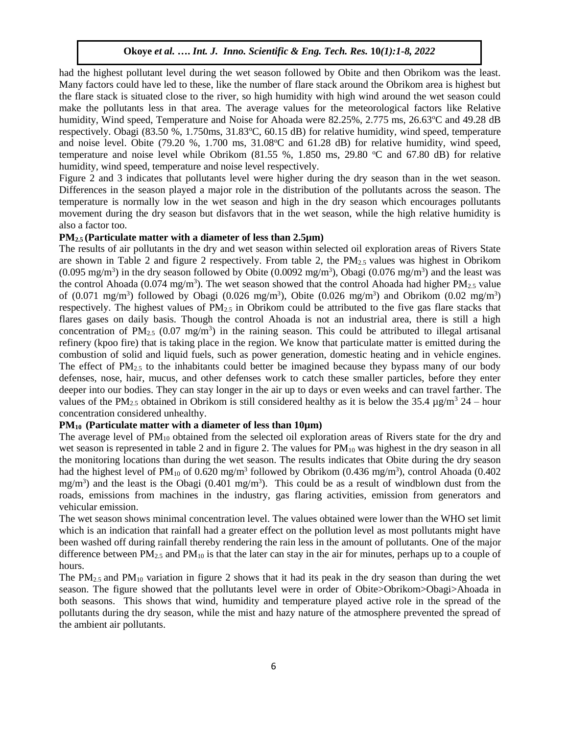had the highest pollutant level during the wet season followed by Obite and then Obrikom was the least. Many factors could have led to these, like the number of flare stack around the Obrikom area is highest but the flare stack is situated close to the river, so high humidity with high wind around the wet season could make the pollutants less in that area. The average values for the meteorological factors like Relative humidity, Wind speed, Temperature and Noise for Ahoada were 82.25%, 2.775 ms, 26.63°C and 49.28 dB respectively. Obagi  $(83.50\%, 1.750\text{ms}, 31.83\text{°C}, 60.15 \text{ dB})$  for relative humidity, wind speed, temperature and noise level. Obite  $(79.20 \text{ %}, 1.700 \text{ ms}, 31.08^{\circ}\text{C}$  and  $61.28 \text{ dB})$  for relative humidity, wind speed, temperature and noise level while Obrikom  $(81.55 \text{ %}, 1.850 \text{ ms}, 29.80 \text{ °C}$  and 67.80 dB) for relative humidity, wind speed, temperature and noise level respectively.

Figure 2 and 3 indicates that pollutants level were higher during the dry season than in the wet season. Differences in the season played a major role in the distribution of the pollutants across the season. The temperature is normally low in the wet season and high in the dry season which encourages pollutants movement during the dry season but disfavors that in the wet season, while the high relative humidity is also a factor too.

#### **PM2.5 (Particulate matter with a diameter of less than 2.5µm)**

The results of air pollutants in the dry and wet season within selected oil exploration areas of Rivers State are shown in Table 2 and figure 2 respectively. From table 2, the PM2.5 values was highest in Obrikom  $(0.095 \text{ mg/m}^3)$  in the dry season followed by Obite  $(0.0092 \text{ mg/m}^3)$ , Obagi  $(0.076 \text{ mg/m}^3)$  and the least was the control Ahoada (0.074 mg/m<sup>3</sup>). The wet season showed that the control Ahoada had higher  $PM_{2.5}$  value of  $(0.071 \text{ mg/m}^3)$  followed by Obagi  $(0.026 \text{ mg/m}^3)$ , Obite  $(0.026 \text{ mg/m}^3)$  and Obrikom  $(0.02 \text{ mg/m}^3)$ respectively. The highest values of  $PM_{2.5}$  in Obrikom could be attributed to the five gas flare stacks that flares gases on daily basis. Though the control Ahoada is not an industrial area, there is still a high concentration of PM<sub>2.5</sub> (0.07 mg/m<sup>3</sup>) in the raining season. This could be attributed to illegal artisanal refinery (kpoo fire) that is taking place in the region. We know that particulate matter is emitted during the combustion of solid and liquid fuels, such as power generation, domestic heating and in vehicle engines. The effect of  $PM_{2.5}$  to the inhabitants could better be imagined because they bypass many of our body defenses, nose, hair, mucus, and other defenses work to catch these smaller particles, before they enter deeper into our bodies. They can stay longer in the air up to days or even weeks and can travel farther. The values of the PM<sub>2.5</sub> obtained in Obrikom is still considered healthy as it is below the 35.4  $\mu$ g/m<sup>3</sup> 24 – hour concentration considered unhealthy.

## **PM10 (Particulate matter with a diameter of less than 10µm)**

The average level of PM<sub>10</sub> obtained from the selected oil exploration areas of Rivers state for the dry and wet season is represented in table 2 and in figure 2. The values for  $PM_{10}$  was highest in the dry season in all the monitoring locations than during the wet season. The results indicates that Obite during the dry season had the highest level of PM<sub>10</sub> of 0.620 mg/m<sup>3</sup> followed by Obrikom (0.436 mg/m<sup>3</sup>), control Ahoada (0.402  $mg/m<sup>3</sup>$ ) and the least is the Obagi (0.401 mg/m<sup>3</sup>). This could be as a result of windblown dust from the roads, emissions from machines in the industry, gas flaring activities, emission from generators and vehicular emission.

The wet season shows minimal concentration level. The values obtained were lower than the WHO set limit which is an indication that rainfall had a greater effect on the pollution level as most pollutants might have been washed off during rainfall thereby rendering the rain less in the amount of pollutants. One of the major difference between  $PM_{2.5}$  and  $PM_{10}$  is that the later can stay in the air for minutes, perhaps up to a couple of hours.

The  $PM_{2.5}$  and  $PM_{10}$  variation in figure 2 shows that it had its peak in the dry season than during the wet season. The figure showed that the pollutants level were in order of Obite>Obrikom>Obagi>Ahoada in both seasons. This shows that wind, humidity and temperature played active role in the spread of the pollutants during the dry season, while the mist and hazy nature of the atmosphere prevented the spread of the ambient air pollutants.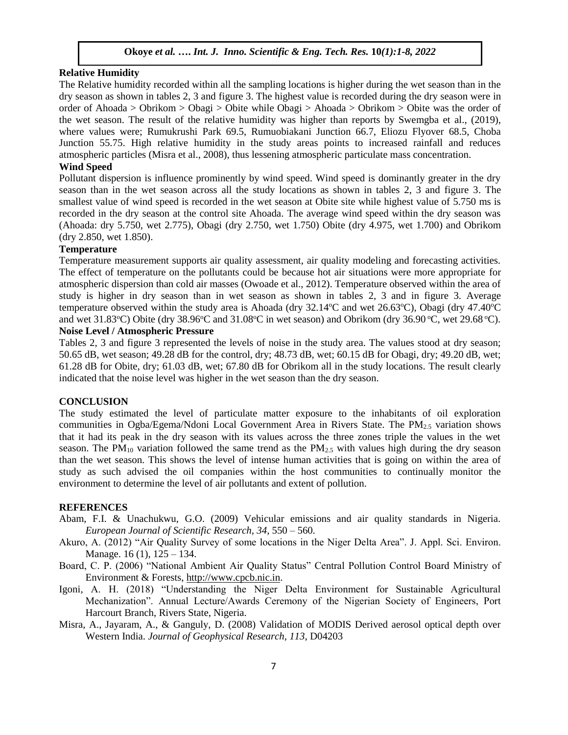#### **Relative Humidity**

The Relative humidity recorded within all the sampling locations is higher during the wet season than in the dry season as shown in tables 2, 3 and figure 3. The highest value is recorded during the dry season were in order of Ahoada > Obrikom > Obagi > Obite while Obagi > Ahoada > Obrikom > Obite was the order of the wet season. The result of the relative humidity was higher than reports by Swemgba et al., (2019), where values were; Rumukrushi Park 69.5, Rumuobiakani Junction 66.7, Eliozu Flyover 68.5, Choba Junction 55.75. High relative humidity in the study areas points to increased rainfall and reduces atmospheric particles (Misra et al., 2008), thus lessening atmospheric particulate mass concentration.

## **Wind Speed**

Pollutant dispersion is influence prominently by wind speed. Wind speed is dominantly greater in the dry season than in the wet season across all the study locations as shown in tables 2, 3 and figure 3. The smallest value of wind speed is recorded in the wet season at Obite site while highest value of 5.750 ms is recorded in the dry season at the control site Ahoada. The average wind speed within the dry season was (Ahoada: dry 5.750, wet 2.775), Obagi (dry 2.750, wet 1.750) Obite (dry 4.975, wet 1.700) and Obrikom (dry 2.850, wet 1.850).

#### **Temperature**

Temperature measurement supports air quality assessment, air quality modeling and forecasting activities. The effect of temperature on the pollutants could be because hot air situations were more appropriate for atmospheric dispersion than cold air masses (Owoade et al., 2012). Temperature observed within the area of study is higher in dry season than in wet season as shown in tables 2, 3 and in figure 3. Average temperature observed within the study area is Ahoada (dry  $32.14^{\circ}$ C and wet  $26.63^{\circ}$ C), Obagi (dry  $47.40^{\circ}$ C and wet 31.83 $^{\circ}$ C) Obite (dry 38.96 $^{\circ}$ C and 31.08 $^{\circ}$ C in wet season) and Obrikom (dry 36.90 $^{\circ}$ C, wet 29.68 $^{\circ}$ C).

# **Noise Level / Atmospheric Pressure**

Tables 2, 3 and figure 3 represented the levels of noise in the study area. The values stood at dry season; 50.65 dB, wet season; 49.28 dB for the control, dry; 48.73 dB, wet; 60.15 dB for Obagi, dry; 49.20 dB, wet; 61.28 dB for Obite, dry; 61.03 dB, wet; 67.80 dB for Obrikom all in the study locations. The result clearly indicated that the noise level was higher in the wet season than the dry season.

#### **CONCLUSION**

The study estimated the level of particulate matter exposure to the inhabitants of oil exploration communities in Ogba/Egema/Ndoni Local Government Area in Rivers State. The PM2.5 variation shows that it had its peak in the dry season with its values across the three zones triple the values in the wet season. The  $PM_{10}$  variation followed the same trend as the  $PM_{2.5}$  with values high during the dry season than the wet season. This shows the level of intense human activities that is going on within the area of study as such advised the oil companies within the host communities to continually monitor the environment to determine the level of air pollutants and extent of pollution.

#### **REFERENCES**

- Abam, F.I. & Unachukwu, G.O. (2009) Vehicular emissions and air quality standards in Nigeria. *European Journal of Scientific Research, 34*, 550 – 560.
- Akuro, A. (2012) "Air Quality Survey of some locations in the Niger Delta Area". J. Appl. Sci. Environ. Manage. 16 (1), 125 – 134.
- Board, C. P. (2006) "National Ambient Air Quality Status" Central Pollution Control Board Ministry of Environment & Forests, [http://www.cpcb.nic.in.](http://www.cpcb.nic.in/)
- Igoni, A. H. (2018) "Understanding the Niger Delta Environment for Sustainable Agricultural Mechanization". Annual Lecture/Awards Ceremony of the Nigerian Society of Engineers, Port Harcourt Branch, Rivers State, Nigeria.
- Misra, A., Jayaram, A., & Ganguly, D. (2008) Validation of MODIS Derived aerosol optical depth over Western India. *Journal of Geophysical Research, 113*, D04203